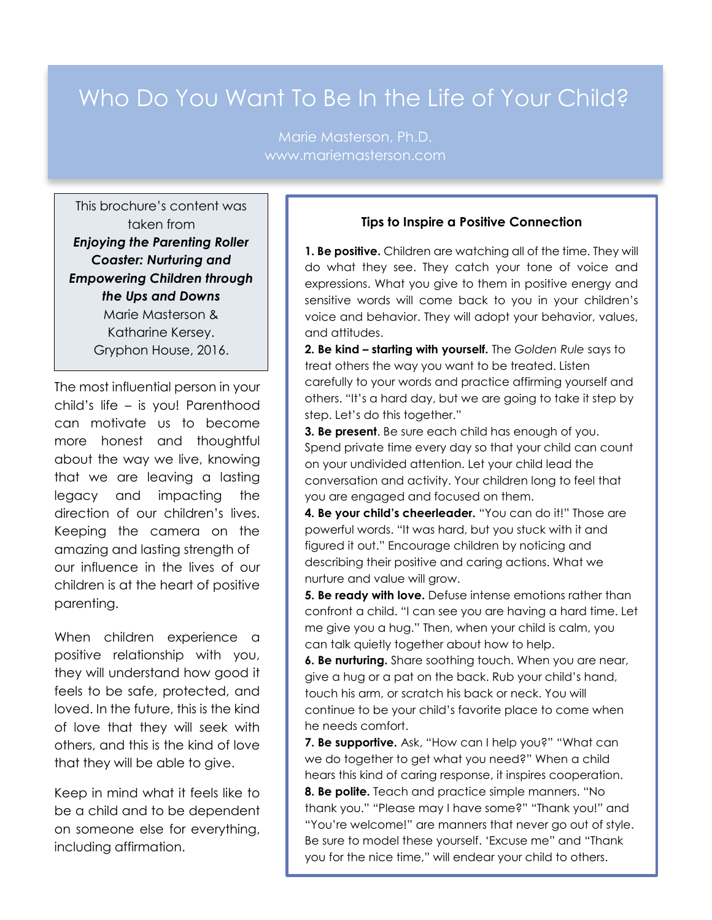## Who Do You Want To Be In the Life of Your Child?

Marie Masterson, Ph.D. www.mariemasterson.com

This brochure's content was taken from *Enjoying the Parenting Roller Coaster: Nurturing and Empowering Children through the Ups and Downs* Marie Masterson & Katharine Kersey. Gryphon House, 2016.

 $\mathbf{r}$ 

The most influential person in your child's life – is you! Parenthood can motivate us to become more honest and thoughtful about the way we live, knowing that we are leaving a lasting legacy and impacting the direction of our children's lives. Keeping the camera on the amazing and lasting strength of our influence in the lives of our children is at the heart of positive parenting.

When children experience a positive relationship with you, they will understand how good it feels to be safe, protected, and loved. In the future, this is the kind of love that they will seek with others, and this is the kind of love that they will be able to give.

Keep in mind what it feels like to be a child and to be dependent on someone else for everything, including affirmation.

## **Tips to Inspire a Positive Connection**

**1. Be positive.** Children are watching all of the time. They will do what they see. They catch your tone of voice and expressions. What you give to them in positive energy and sensitive words will come back to you in your children's voice and behavior. They will adopt your behavior, values, and attitudes.

**2. Be kind – starting with yourself.** The *Golden Rule* says to treat others the way you want to be treated. Listen carefully to your words and practice affirming yourself and others. "It's a hard day, but we are going to take it step by step. Let's do this together."

**3. Be present**. Be sure each child has enough of you. Spend private time every day so that your child can count on your undivided attention. Let your child lead the conversation and activity. Your children long to feel that you are engaged and focused on them.

**4. Be your child's cheerleader.** "You can do it!" Those are powerful words. "It was hard, but you stuck with it and figured it out." Encourage children by noticing and describing their positive and caring actions. What we nurture and value will grow.

**5. Be ready with love.** Defuse intense emotions rather than confront a child. "I can see you are having a hard time. Let me give you a hug." Then, when your child is calm, you can talk quietly together about how to help.

**6. Be nurturing.** Share soothing touch. When you are near, give a hug or a pat on the back. Rub your child's hand, touch his arm, or scratch his back or neck. You will continue to be your child's favorite place to come when he needs comfort.

**7. Be supportive.** Ask, "How can I help you?" "What can we do together to get what you need?" When a child hears this kind of caring response, it inspires cooperation.

**8. Be polite.** Teach and practice simple manners. "No thank you." "Please may I have some?" "Thank you!" and "You're welcome!" are manners that never go out of style. Be sure to model these yourself. 'Excuse me" and "Thank you for the nice time," will endear your child to others.

manners, and make it functions, and make it functions and make it functions of  $\alpha$